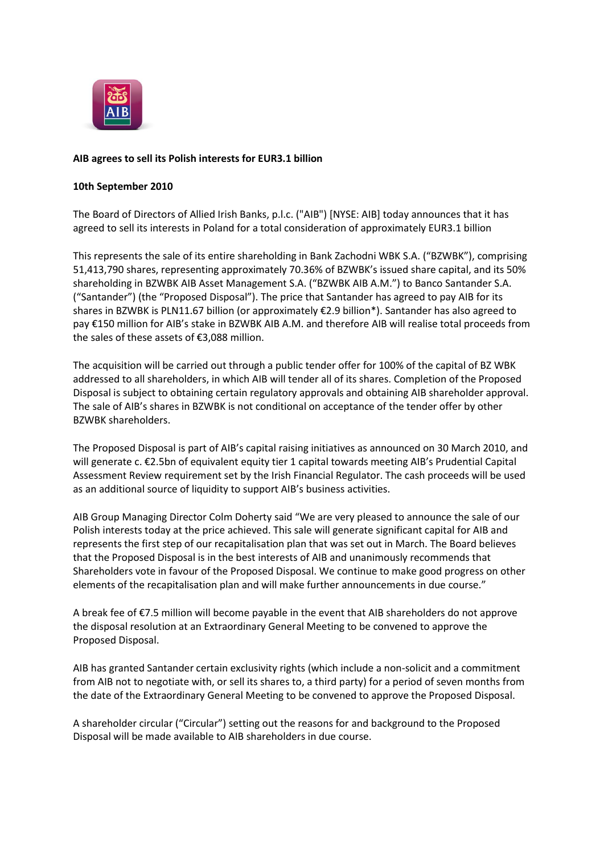

# **AIB agrees to sell its Polish interests for EUR3.1 billion**

### **10th September 2010**

The Board of Directors of Allied Irish Banks, p.l.c. ("AIB") [NYSE: AIB] today announces that it has agreed to sell its interests in Poland for a total consideration of approximately EUR3.1 billion

This represents the sale of its entire shareholding in Bank Zachodni WBK S.A. ("BZWBK"), comprising 51,413,790 shares, representing approximately 70.36% of BZWBK's issued share capital, and its 50% shareholding in BZWBK AIB Asset Management S.A. ("BZWBK AIB A.M.") to Banco Santander S.A. ("Santander") (the "Proposed Disposal"). The price that Santander has agreed to pay AIB for its shares in BZWBK is PLN11.67 billion (or approximately €2.9 billion\*). Santander has also agreed to pay €150 million for AIB's stake in BZWBK AIB A.M. and therefore AIB will realise total proceeds from the sales of these assets of €3,088 million.

The acquisition will be carried out through a public tender offer for 100% of the capital of BZ WBK addressed to all shareholders, in which AIB will tender all of its shares. Completion of the Proposed Disposal is subject to obtaining certain regulatory approvals and obtaining AIB shareholder approval. The sale of AIB's shares in BZWBK is not conditional on acceptance of the tender offer by other BZWBK shareholders.

The Proposed Disposal is part of AIB's capital raising initiatives as announced on 30 March 2010, and will generate c. €2.5bn of equivalent equity tier 1 capital towards meeting AIB's Prudential Capital Assessment Review requirement set by the Irish Financial Regulator. The cash proceeds will be used as an additional source of liquidity to support AIB's business activities.

AIB Group Managing Director Colm Doherty said "We are very pleased to announce the sale of our Polish interests today at the price achieved. This sale will generate significant capital for AIB and represents the first step of our recapitalisation plan that was set out in March. The Board believes that the Proposed Disposal is in the best interests of AIB and unanimously recommends that Shareholders vote in favour of the Proposed Disposal. We continue to make good progress on other elements of the recapitalisation plan and will make further announcements in due course."

A break fee of €7.5 million will become payable in the event that AIB shareholders do not approve the disposal resolution at an Extraordinary General Meeting to be convened to approve the Proposed Disposal.

AIB has granted Santander certain exclusivity rights (which include a non-solicit and a commitment from AIB not to negotiate with, or sell its shares to, a third party) for a period of seven months from the date of the Extraordinary General Meeting to be convened to approve the Proposed Disposal.

A shareholder circular ("Circular") setting out the reasons for and background to the Proposed Disposal will be made available to AIB shareholders in due course.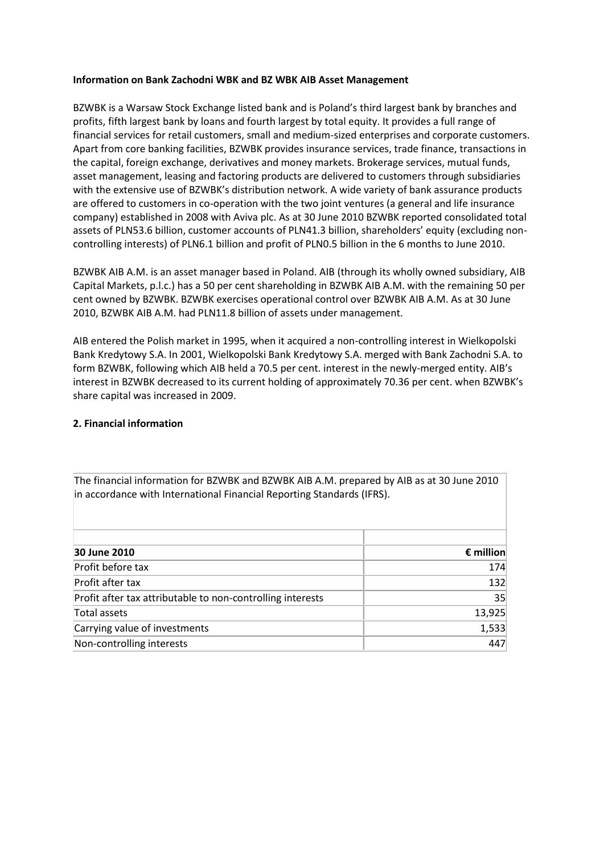## **Information on Bank Zachodni WBK and BZ WBK AIB Asset Management**

BZWBK is a Warsaw Stock Exchange listed bank and is Poland's third largest bank by branches and profits, fifth largest bank by loans and fourth largest by total equity. It provides a full range of financial services for retail customers, small and medium-sized enterprises and corporate customers. Apart from core banking facilities, BZWBK provides insurance services, trade finance, transactions in the capital, foreign exchange, derivatives and money markets. Brokerage services, mutual funds, asset management, leasing and factoring products are delivered to customers through subsidiaries with the extensive use of BZWBK's distribution network. A wide variety of bank assurance products are offered to customers in co-operation with the two joint ventures (a general and life insurance company) established in 2008 with Aviva plc. As at 30 June 2010 BZWBK reported consolidated total assets of PLN53.6 billion, customer accounts of PLN41.3 billion, shareholders' equity (excluding noncontrolling interests) of PLN6.1 billion and profit of PLN0.5 billion in the 6 months to June 2010.

BZWBK AIB A.M. is an asset manager based in Poland. AIB (through its wholly owned subsidiary, AIB Capital Markets, p.l.c.) has a 50 per cent shareholding in BZWBK AIB A.M. with the remaining 50 per cent owned by BZWBK. BZWBK exercises operational control over BZWBK AIB A.M. As at 30 June 2010, BZWBK AIB A.M. had PLN11.8 billion of assets under management.

AIB entered the Polish market in 1995, when it acquired a non-controlling interest in Wielkopolski Bank Kredytowy S.A. In 2001, Wielkopolski Bank Kredytowy S.A. merged with Bank Zachodni S.A. to form BZWBK, following which AIB held a 70.5 per cent. interest in the newly-merged entity. AIB's interest in BZWBK decreased to its current holding of approximately 70.36 per cent. when BZWBK's share capital was increased in 2009.

## **2. Financial information**

| The imancial implimation for better and better. All Altri prepared by Alb as at 30 suite 2010<br>in accordance with International Financial Reporting Standards (IFRS). |                    |
|-------------------------------------------------------------------------------------------------------------------------------------------------------------------------|--------------------|
|                                                                                                                                                                         |                    |
| 30 June 2010                                                                                                                                                            | $\epsilon$ million |
| Profit before tax                                                                                                                                                       | 174                |
| Profit after tax                                                                                                                                                        | 132                |
| Profit after tax attributable to non-controlling interests                                                                                                              | 35                 |
| Total assets                                                                                                                                                            | 13,925             |
| Carrying value of investments                                                                                                                                           | 1,533              |
| Non-controlling interests                                                                                                                                               | 447                |

The financial information for BZWBK and BZWBK AIB A.M. prepared by AIB as at 30 June 2010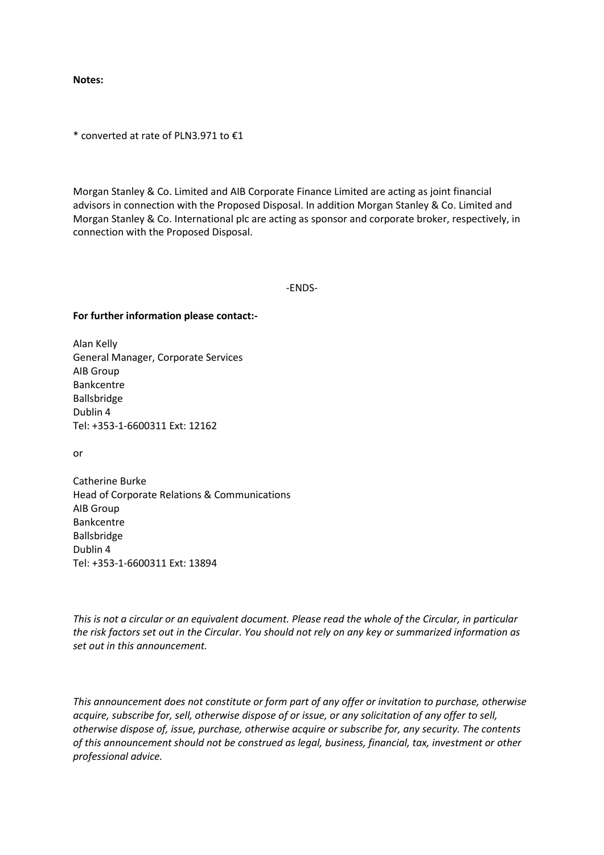**Notes:**

\* converted at rate of PLN3.971 to €1

Morgan Stanley & Co. Limited and AIB Corporate Finance Limited are acting as joint financial advisors in connection with the Proposed Disposal. In addition Morgan Stanley & Co. Limited and Morgan Stanley & Co. International plc are acting as sponsor and corporate broker, respectively, in connection with the Proposed Disposal.

-ENDS-

## **For further information please contact:-**

Alan Kelly General Manager, Corporate Services AIB Group Bankcentre Ballsbridge Dublin 4 Tel: +353-1-6600311 Ext: 12162

or

Catherine Burke Head of Corporate Relations & Communications AIB Group Bankcentre Ballsbridge Dublin 4 Tel: +353-1-6600311 Ext: 13894

*This is not a circular or an equivalent document. Please read the whole of the Circular, in particular the risk factors set out in the Circular. You should not rely on any key or summarized information as set out in this announcement.*

*This announcement does not constitute or form part of any offer or invitation to purchase, otherwise acquire, subscribe for, sell, otherwise dispose of or issue, or any solicitation of any offer to sell, otherwise dispose of, issue, purchase, otherwise acquire or subscribe for, any security. The contents of this announcement should not be construed as legal, business, financial, tax, investment or other professional advice.*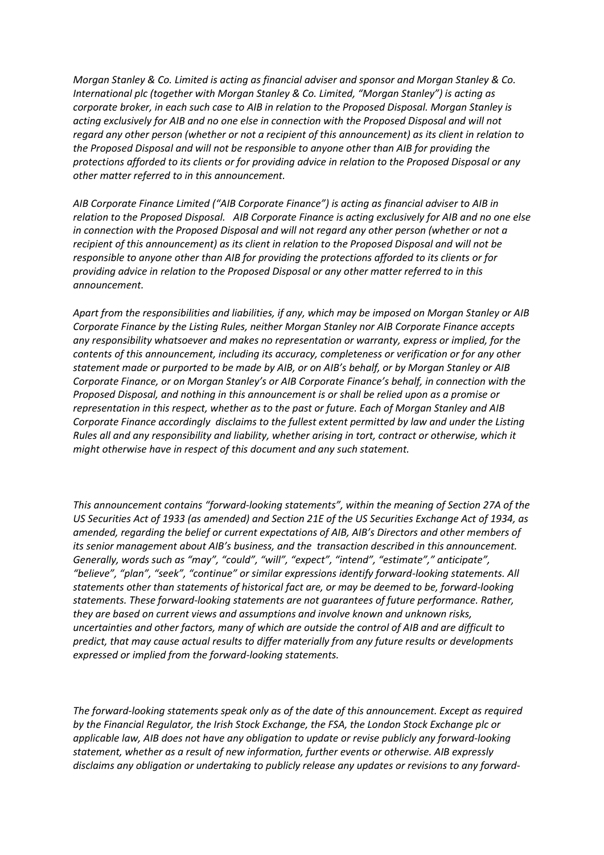*Morgan Stanley & Co. Limited is acting as financial adviser and sponsor and Morgan Stanley & Co. International plc (together with Morgan Stanley & Co. Limited, "Morgan Stanley") is acting as corporate broker, in each such case to AIB in relation to the Proposed Disposal. Morgan Stanley is acting exclusively for AIB and no one else in connection with the Proposed Disposal and will not regard any other person (whether or not a recipient of this announcement) as its client in relation to the Proposed Disposal and will not be responsible to anyone other than AIB for providing the protections afforded to its clients or for providing advice in relation to the Proposed Disposal or any other matter referred to in this announcement.*

*AIB Corporate Finance Limited ("AIB Corporate Finance") is acting as financial adviser to AIB in relation to the Proposed Disposal. AIB Corporate Finance is acting exclusively for AIB and no one else in connection with the Proposed Disposal and will not regard any other person (whether or not a recipient of this announcement) as its client in relation to the Proposed Disposal and will not be responsible to anyone other than AIB for providing the protections afforded to its clients or for providing advice in relation to the Proposed Disposal or any other matter referred to in this announcement.*

*Apart from the responsibilities and liabilities, if any, which may be imposed on Morgan Stanley or AIB Corporate Finance by the Listing Rules, neither Morgan Stanley nor AIB Corporate Finance accepts any responsibility whatsoever and makes no representation or warranty, express or implied, for the contents of this announcement, including its accuracy, completeness or verification or for any other statement made or purported to be made by AIB, or on AIB's behalf, or by Morgan Stanley or AIB Corporate Finance, or on Morgan Stanley's or AIB Corporate Finance's behalf, in connection with the Proposed Disposal, and nothing in this announcement is or shall be relied upon as a promise or representation in this respect, whether as to the past or future. Each of Morgan Stanley and AIB Corporate Finance accordingly disclaims to the fullest extent permitted by law and under the Listing Rules all and any responsibility and liability, whether arising in tort, contract or otherwise, which it might otherwise have in respect of this document and any such statement.*

*This announcement contains "forward-looking statements", within the meaning of Section 27A of the US Securities Act of 1933 (as amended) and Section 21E of the US Securities Exchange Act of 1934, as amended, regarding the belief or current expectations of AIB, AIB's Directors and other members of its senior management about AIB's business, and the transaction described in this announcement. Generally, words such as "may", "could", "will", "expect", "intend", "estimate"," anticipate", "believe", "plan", "seek", "continue" or similar expressions identify forward-looking statements. All statements other than statements of historical fact are, or may be deemed to be, forward-looking statements. These forward-looking statements are not guarantees of future performance. Rather, they are based on current views and assumptions and involve known and unknown risks, uncertainties and other factors, many of which are outside the control of AIB and are difficult to predict, that may cause actual results to differ materially from any future results or developments expressed or implied from the forward-looking statements.*

*The forward-looking statements speak only as of the date of this announcement. Except as required by the Financial Regulator, the Irish Stock Exchange, the FSA, the London Stock Exchange plc or applicable law, AIB does not have any obligation to update or revise publicly any forward-looking statement, whether as a result of new information, further events or otherwise. AIB expressly disclaims any obligation or undertaking to publicly release any updates or revisions to any forward-*